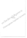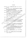## บรรณานุกรม

ึกิดานันท์ มลิทอง. (2531). **เทคโนโลยีการศึกษาร่วมสมัย.** กรุงเทพฯ : จุฬาลงกรณ์ มหาวิทยาลัย.

ึกรมสามัญศึกษา. (2528 : 28 กรกฎาคม). คำสั่งที่ ศธ. 0808/1434 เรื่อง แนวปฏิบัติการ เปิดสอนคอมพิวเตอร์ในโรงเรียนมัธยมศึกษา.

ึคณะอนุกรรมการบัญญัติศัพท์คอมพิวเตอร์ ฉบับราชบัณฑิตยสถาน. (2533). ศัพท์บัญญัติ คอมพิวเตอร์. กรุงเทพฯ : เอ อาร์ อินฟอร์เมชัน แอน พับลิเคชั่น ชู่ากุ๊ด.

ิ ครรชิต มาลัยวงศ์. (2526 ). "การประยุกต์ใช้งานคอมพิวเตอร์ในกรุงรัตเม็ตสิ้นทรี".

วารสารกรมบัญชีกลาง. 9 (มกราคม-กุมภาพันธ์ 2526) 23-34.

.. (2527ก). "ไมโครคอมพิวเตอร์ในวงศารศึกษุ∆ไทย" โคอึ๊มพิวเตอร์ไดเจสท์ 1. ■ (มกราคม 2527) : 10-19.

- (2527%). "คอมพิวเตอร์รุ่นที<sub>่า</sub>5" (คอมพิวเตอร์รีวิว. 16 (กุมภาพันธ์ 252  $:74-85.$ 

ึจลีพร โกลากุล. (2526), ครู่ามฐ์เกียวกับคอมพิวเตอร์และการเขียนโปรแครม. กรุงเทพัน : สามัคคีลาส์นการพิมพ์.

จำนงค์ ภูมิพันธุ์ (2533) ศึกษาสภาพและบัญหาการใช้ไม่โครคอมพิวเตอร์การศึกษาใน ใช้งิเรียนมัธยมศึกษา สังกัดกรุมสามัญศึกษ์รากาคตะวันออกเฉียงเหนือ. มหาสารคาม. วิทยานิพนธ์ปริญญาพิหาบัณฑึด, มหา<mark>วิทยาลัยศรีนครินทรวิโรฒ</mark> มหาสารคาม.

จิตติรัตน์ ทัดเทียมรมย์. (2514). โคริ้วมเห็นของผู้เข้ารับการอบรมคอมพิวเตอร์ศาสตร์ใน การใช้คอมพิวเตอร์ในระดับอุดมศึกษา. กรุงเทพฯ : วิทยานิพนธ์ปริญญา มหลับเินซิด, จัฬาลงกรณ์มหาวิทยาลัย.

เฉลิมศรี คงไหย. (2527). การสอนซ่อมเสริมโดยใช้สื่อประสม "เรื่องสารสังเคราะห์ วิชา วิทยาศาสตร์กายภาพชีวภาพสำหรับนักเรียนชั้นมัธยมศึกษาตอนปลาย โรงเรียนพิบูลวิทยาลัย จังหวัดลพบุรี. กรุงเทพฯ : วิทยานิพนธ์ปริญญา ้มหาบัณฑิต, มหาวิทยาลัยเกษตรศาสตร์.

ี ชนะ โสภารักษ์. (2533). **ศัพท์ไมโครคอมพิวเตอร์.** กรุงเทพฯ : อมรินทร์ พริ้นติ้งกรุ๊ฟ จำกัด.

ไชยยศ เรื่องสุวรรณ. (2526). เทคโนโลยีทางการศึกษา : หลักการและแนวปฏิบัติ. กรุงเทพฯ : วัฒนาพานิช.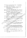ณรงค์ บุญมี. (2526). "คอมพิวเตอร์แนวโน้มในวงการศึกษา". วารสารศูนย์บริภัณฑ์. 2 (เมษายน – มิถุนายน 2526) : 27-28.

เดือน สินธุพันธ์ประทุม. (2529). "คอมพิวเตอร์เบื้องต้น". เอกสารคำสอนรายวิชา คอมพิวเตอร์สำหรับครู. ภาควิชาศิลปศาสตร์. กรุงเทพฯ :

มหาวิทยาลัยสุโขทัยธรรมาธิราช.

ทักษิณา สวนานนท์. (2530). **คอมพิวเตอร์เพื่อการศึกษา.** กรุงเทพฯ : องค์การค้าคุรุสภา. ี ธีระพร อุวรรณโณ. (2526). "ผลกระทบของคอมพิวเตอร์ต่อคุณภาพชีวิตของคนไทย%

วารสารครุศาสตร์. 1 (กรกฎาคม - กันยายน 2526) : 35-42. ี นุชนาฏ ฐิติโภคา. (2529). **ความคิดเห็นของครูวิทยาศาส**ตร์เกี่ยวกับได้สิ่งใช้<sup>สั</sup> **คอมพิวเตอร์ช่วยการเรียนการสอนวิชาวิท**ยาศาสตร์ในระดับมัธยมศึกษาใน กรุงเทพมหานคร. กรุงเทพฯ : วิทยุวนิพนธุ์ปริญัญางหาบัณฑิต, จุฬาลงกรณ์ มหาวิทยาลัย.

นภพินท์ อนันตรศิริชัย. (2528). การใช้ไม่ใครคอมพิวเตอร์เพื่อเป็นอุปกรณ์ช่วยสอนวิช ฟิสิกส์. กรุงเทพฯ : วิทยุนินิพิมธิ์ปริญญามหาบัณฑิต, จุฬาลงสุรณ์มหังวิทยาลัย.

บุญโชดิ เจริญกุล (2527) การสอนชื่อมเสริมในโรงเรียนมัธยมศึกษาต่อนปลายสังกัด กรมสามญัติกิษาใช้ตการศึกษา 3. กรุงเทพุฯ : วิทยงนั้นนธ์ปริญญามหาบัณฑิต, .อุพาลิงกรณ์มหาวิทยาลัย.

ติมินเซาติ พัพหิกรณ์. (2529). "คอมพิวเตอร์กับการใจนี้มีนัการสอนในโรงเรียน". **วารสาร** ้ศึกษาศาสตร์ปริทัศน์. 3 (กุมภาพันธ์ 2529) : 76-85.

ประสิทธิ์ สารภี. (2522). ไมโครคอิ้มพิวิเตอร์ช่วยก<mark>ารสอนสำหรับใช้กับวิชาคณิตศาสตร์</mark><br>หรือวิชาอื่น ฟิ กรุงเทพฯ : วิทยานิพนธ์ปริญญามหาบัณฑิต, จุพาลงกรณ์ มหาวิหยังสัย

ปราณี มีกลุง (2524). ผลลัมฤทธิ์ในการเรียนซ่อมเสริมของนักเรียนชั้นมัธยมศึกษา ∖ต่อันปลาย วิชาเคมี เรื่องเซลไฟฟ้าเคมีโดยวิธีเรียนด้วยตนเองจากสื่อประสม ี และจา**กแบบเรียน.** กรุงเทพฯ : วิทยานิพนธ์ปริญญามหาบัณฑิต, มหาวิทยาลัย เกษตรศาสตร์.

ผดุง อารยะวิญญู. (2527). **ไมโครคอมพิวเตอร์เพื่อการศึกษา.** กรุงเทพฯ : เอช-เอ็น ึการพิมพ์.

พนัส หันนาคินทร์. (2529) การบริหารงานบุคลากรในโรงเรียน. พิมพ์ครั้งที่ 2. กรุงเทพฯ : เนดิกุลการพิมพ์.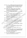มาลินทร์ อิทธิรส. (2530). การใช้ไมโครคอมพิวเตอร์ช่วยสอนซ่อมเสริมวิชาสร้างเสริม ประสบการณ์ชีวิตสำหรับนักเรียนชั้นประถมศึกษาปีที่ 6 โรงเรียนสาธิตแห่ง ุมหาวิทยาลัยเกษตรศาสตร์. กรุงเทพฯ : วิทยานิพนธ์ปริญญามหาบัณฑิต, มหาวิทยาลัยเกษตรศาสตร์.

มณฑล อนันตรศิริชัย. (2534). การใช้โปรแกรมไมโครคอมพิวเตอร์เพื่อแก้ไข ข้อบกพร่องในการเรียนวิชาฟิสิกส์เรื่องกฎการเคลื่อนที่. กรุงเทพฯ : วิทยา นิพนธ์ปริญญามหาบัณฑิต, มหาวิทยาลัยเกษตรศาสตร์.

ยืน ภู่วรวรรณ. (2527). **เรื่องน่ารู้เกี่ยวกับไมโครคอมพิวเตอร์.** กรุงเทพฯ สิ่งริษัทซี่ยิ๊ด ยูเคชั่น จำกัด.

(2529). "ระบบคอมพิวเตอร์". เอกสารการสอนรูจุ์สุริชาศัอมพิวเตอร์สำหรับ ครู. กรุงเทพฯ : ภาควิชาศิลปศาสตร์ มหาวิทยุสั้นสูโขทัยธรรมาธิราช.

ยุพตี มิ่งสรรพางค์. (2526). การทดลองสอนวิชงคลุมพิวเตอร์กับนักเรียนชั้น มัธยมศึกษาปีที่ 4 โรงเรียนสตรีมห\ุพทิฒาราม. กรุงเทพฯ : วิทยา นิพนธ์ปริญญามหาบัณฑิต มหาวิทย์ตลับเกษดรศาสตร์.

ยุพิน ไทยรัตนานนท์. (2527). การเขียนโปรแกรมโครงสร้างด้วยสำนาเบสึก. กรุงเทพฯ โรงพิมพ์อมรีนทร์การพิมพ์.

รัชชศิลป์ แผ่งระกูล 2527). เปรียบเทียบความคิดเห็นของผู้บริหารโรงเรียน ครู และ พักวิชาการคอมพิวเตอร์เกี่ยวสับการใช้ไม่ได้รคอมพิวเตอร์ในโรงเรียน ง<br>มัธยมศึกษา สังกัดกรมสามัญศึกษา ในเขัตกรุง**เทพมหานคร.** กรุงเทพฯ : วิทยานิพนธ์ปริญญามหาบัญชิด, จุพาลงกรณ์มหาวิทยาลัย.

ล้วน สายยศและอังคณา สาย<mark>ยุต. 72538). เท**คนิคการวิจัยทางการศึกษา.** พิมพ์ครั้งที่ 4.</mark> กรุงเทพฯ โฮวิริยาสาส์นการพิมพ์.

วารินทร์ รัศมีพิรุหม. (2531). สื่อการสอนเทคโนโลยีทางการศึกษาและการสอนร่วม สมัย. กรุงเทพฯ : โรงพิมพ์ชวนพิมพ์.

จิซัย วิ่งศ์ใหญ่. พั**ฒนาหลักสูตรและการสอน - มิติใหม่.** พิมพ์ครั้งที่ 3 กรุงเทพฯ : โอเดียนสโตร์, 2526

วิรัช กล้าหาญ. (2529). การทดลองใช้ไมโครคอมพิวเตอร์สอนซ่อมเสริมคณิตศาสตร์ เรื่อง การคูณกับนักเรียนที่มีความบกพร่องทางการได้ยิน ชั้นประถมศึกษา ปีที่ 2. กรุงเทพฯ : วิทยานิพนธ์ปริญญามหาบัณฑิต, มหาวิทยาลัยศรีนครินทรวิโรฒ ประสานมิตร.

วีระ ไทยพานิช. (2527). **คอมพิวเตอร์ช่วยสอน.** ภาควิชาเทคโนโลยีการศึกษา. คณะศึกษาศาสตร์, มหาวิทยาลัยเกษตรศาสตร์. (อัดสำเนา)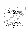- วีระพงษ์ แสง-ชูโต. (2532). การเปรียบเทียบผลสัมฤทธิ์ในการสอนซ่อมเสริมวิชาเคมี โดยใช้คอมพิวเตอร์ช่วยสอนกับการสอนปกติ. กรุงเทพฯ : วิทยานิพนธ์ปริญญา มหาบัณฑิต, มหาวิทยาลัยเกษตรศาสตร์.
- ศรีศักดิ์ จามรมาน. (2529). **คอมพิวเตอร์สำหรับประชาชนทั่วไป.** กรุงเทพฯ : มหาวิทยาลัยสุโขทัยธรรมาธิราช.
- ีสถาบันส่งเสริมการสอนวิทยาศาสตร์และเทคโนโลยี. (2532). **ความรู้เบื้องต้นเกี่ย**วกับ คอมพิวเตอร์. กรุงเทพฯ : โรงพิมพ์คุรุสภา.

<sub>์</sub> สำนักงานคณะกรรมการพัฒนาเศรษฐกิจและสังคมแห่งชาติ. (2540). แผนพัฒน์จุ๋เศรษฐกิจ **ุ และสังคมแห่งชาติ ฉบับที่ 8 (พ.ศ.2540-2544).** กรุงเทพซู: โจ๊งฟิ้มพี่คุรุสภา.

**์สันติ์ ม่วงปาน. (2530). การพัฒนาบทเรียนโปรแก**รมไมโคร์ศอีมพีวีเตอร์เพื่อการเรียน **ช่อมเสริมวิชาฟิสิกส์. กรงเทพ : วิชูยัวนิพุนธั์ปริญญิงมีหาบัณฑิต, มหาวิทยาลัย** เกษตรศาสตร์.

สุกรี รอดโพธิ์ทอง. (2530). "เทคนิคกัรรอชิกแบบบทเรียนแบบ Tutorial โดยอาศัย (พี คอมพิวเตอร์ช่วยสอน <u>จึงรั</u>กวรคริติสสตร์. 16 (มกราคม - มีนาคม 2531) :

78 - 89 สุตฤดี ขันธมูล. 2530). คริสิมคิดเห็นและความต้องการ์ชองผู้บริหารและครูใ<mark>นโรงเรียน</mark> .ผัธยิมศึกษาเขตการศึกษา 9 เกี่ยวกับการนำไมโครคอมพิวเ**ตอร์เข้ามาใช้ใน โรงเรียน. ขอนแก่น : วิทยานิพุหธุ์ปริญญางหาบัณฑิต, มหาวิทยาลัยขอนแก่น.** มรัยมศักษ<br>ไรมรียน<br>(อัดสำเนา)

an-~w gniiYnwni (2527). **ni%nnaadn~~aaua'a~nau~abma~~oaB70an"uod"nb~uoa**  \* ชั้นมัธยมศึกิษฐปีที่*รู้โ*ร่งเรียนปาก**เกร็ด.** กรุงเทพฯ : วิทยานิพนธ์ปริญญา มหาบัณฑิต, มหาวิทยาลัยเกษตรศาสตร์.

สมชาย ทยานียุง. (2532). **"บทบาทของคอมพิวเตอร์ทางการศึกษา".** คอมพิวเตอร์รีวิว. งัง (พฤษภาคม 2532) : 52-53.

 $\overline{\det}$ กั คีริโต. (2526). "ระบบจัดการฐานข้อมูลภาษาไทย". **วารสารศูนย์บริภัณฑ์.** 2 (เมษายน - มิถุนายน 2526) : 18-28.

ื่องอาจ ศิลาน้อo. (2532). **คอมพิวเตอร์สำหรับครู. ข**อนแก่น :ภาควิชาเทคโนโลยีทาง การศึกษา คณะศึกษาศาสตร์ มหาวิทยาลัยขอนแก่น.

Beck, J.J. (1979). "An Analysis of Student Attitude Toward Computer Assisted Instruction in Nebraska Public High School". **Dissertation Abstract International.** 40 (December 1979) : 3006-A.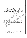- Behling, Robert. (1986). **The Computer and Information Processing.** Belmont : Wodowort.
- Besag, F.P. and Lavine, R. (1984). **Computer Literacy for Teacher.** California : SAGE Publications, Inc.

Byung, S.C. (1987). "The Effectiveness of Using Computer Simulated Experiments on Junior High Students Understanding of the Volume Displacement Concept".

**Journal of Research in Science Teaching.** 24 (September 1987) : 539-552.

Choi, B.S. and E. Genaro. (1987). "The Effectiveness of Using Computer Simmulated Understanding of the Volume Displalcement Concept". **Journal of Research in Science Teaching.** 24 (June 1987) : 539-552.

Douglas, M.C. (1976). "Computer". Pp. 639-640. **In Van Nostrand's Scientific Encyclopedia.** New York : Van Nostrand Reinhold Co.

Friedman, L. T. (1974). "Programmed Lessons in R P G Computer Programming for New York City High Schools". **Dissertation Abstract International.**  35 (August 1974):  $799-A$ .

Good, C.V. (1973). Dictionary of Education. (3d ed.). New York : McGraw-Hill Book Company.

Hurrnon, G.D. (1986). "Microcomputer Usage in Secondary Schools Located in the State of Ohioand Analysis of Business Teacher' Attitudes Toward Microcomputer". Dissertation Abstract International. 46 (March 1986) : 2669-A.

Hwang, S.C. (1990). A Comparison of the Effects on Students's Attitude toward Computers of A Computer Programming Course versus A Computer Programming and Awareness course". Dissertation Abstract International.

51 (February 1990) : 138-A.

Liu, H.C. (1975). "Computer-Assisted Instruction in Teaching College Physics".

**Dissertation Abstract International.** 42 (March 1975) : 141 1-1412-A.

Luehrmann, A. (1986). **Run** : **Computer Education.** p.29. California : Cole Publishing Company.

Moursund, D. (1 986). "Computer Education" **Literacy and Beyond.** pp.246-247. California : ColePublishing Company.